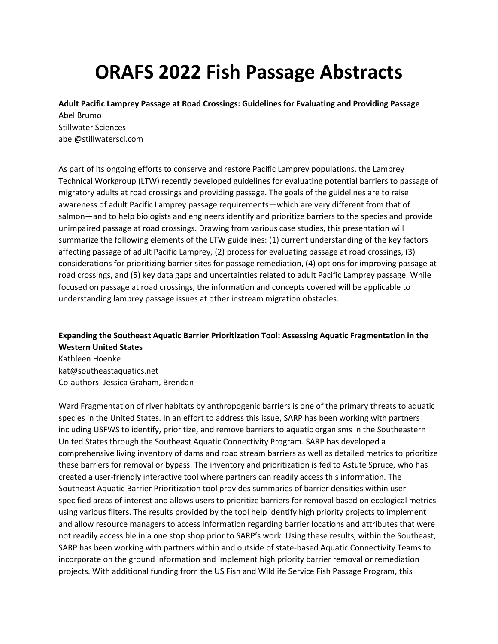# **ORAFS 2022 Fish Passage Abstracts**

**Adult Pacific Lamprey Passage at Road Crossings: Guidelines for Evaluating and Providing Passage** Abel Brumo Stillwater Sciences abel@stillwatersci.com

As part of its ongoing efforts to conserve and restore Pacific Lamprey populations, the Lamprey Technical Workgroup (LTW) recently developed guidelines for evaluating potential barriers to passage of migratory adults at road crossings and providing passage. The goals of the guidelines are to raise awareness of adult Pacific Lamprey passage requirements—which are very different from that of salmon—and to help biologists and engineers identify and prioritize barriers to the species and provide unimpaired passage at road crossings. Drawing from various case studies, this presentation will summarize the following elements of the LTW guidelines: (1) current understanding of the key factors affecting passage of adult Pacific Lamprey, (2) process for evaluating passage at road crossings, (3) considerations for prioritizing barrier sites for passage remediation, (4) options for improving passage at road crossings, and (5) key data gaps and uncertainties related to adult Pacific Lamprey passage. While focused on passage at road crossings, the information and concepts covered will be applicable to understanding lamprey passage issues at other instream migration obstacles.

**Expanding the Southeast Aquatic Barrier Prioritization Tool: Assessing Aquatic Fragmentation in the Western United States** Kathleen Hoenke kat@southeastaquatics.net Co-authors: Jessica Graham, Brendan

Ward Fragmentation of river habitats by anthropogenic barriers is one of the primary threats to aquatic species in the United States. In an effort to address this issue, SARP has been working with partners including USFWS to identify, prioritize, and remove barriers to aquatic organisms in the Southeastern United States through the Southeast Aquatic Connectivity Program. SARP has developed a comprehensive living inventory of dams and road stream barriers as well as detailed metrics to prioritize these barriers for removal or bypass. The inventory and prioritization is fed to Astute Spruce, who has created a user-friendly interactive tool where partners can readily access this information. The Southeast Aquatic Barrier Prioritization tool provides summaries of barrier densities within user specified areas of interest and allows users to prioritize barriers for removal based on ecological metrics using various filters. The results provided by the tool help identify high priority projects to implement and allow resource managers to access information regarding barrier locations and attributes that were not readily accessible in a one stop shop prior to SARP's work. Using these results, within the Southeast, SARP has been working with partners within and outside of state-based Aquatic Connectivity Teams to incorporate on the ground information and implement high priority barrier removal or remediation projects. With additional funding from the US Fish and Wildlife Service Fish Passage Program, this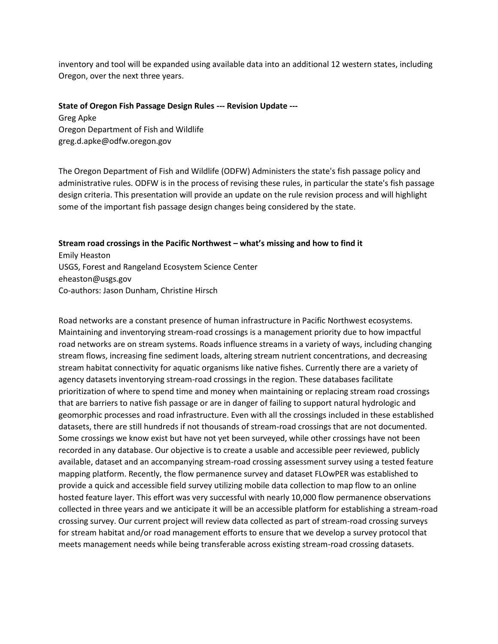inventory and tool will be expanded using available data into an additional 12 western states, including Oregon, over the next three years.

#### **State of Oregon Fish Passage Design Rules --- Revision Update ---**

Greg Apke Oregon Department of Fish and Wildlife greg.d.apke@odfw.oregon.gov

The Oregon Department of Fish and Wildlife (ODFW) Administers the state's fish passage policy and administrative rules. ODFW is in the process of revising these rules, in particular the state's fish passage design criteria. This presentation will provide an update on the rule revision process and will highlight some of the important fish passage design changes being considered by the state.

#### **Stream road crossings in the Pacific Northwest – what's missing and how to find it**

Emily Heaston USGS, Forest and Rangeland Ecosystem Science Center eheaston@usgs.gov Co-authors: Jason Dunham, Christine Hirsch

Road networks are a constant presence of human infrastructure in Pacific Northwest ecosystems. Maintaining and inventorying stream-road crossings is a management priority due to how impactful road networks are on stream systems. Roads influence streams in a variety of ways, including changing stream flows, increasing fine sediment loads, altering stream nutrient concentrations, and decreasing stream habitat connectivity for aquatic organisms like native fishes. Currently there are a variety of agency datasets inventorying stream-road crossings in the region. These databases facilitate prioritization of where to spend time and money when maintaining or replacing stream road crossings that are barriers to native fish passage or are in danger of failing to support natural hydrologic and geomorphic processes and road infrastructure. Even with all the crossings included in these established datasets, there are still hundreds if not thousands of stream-road crossings that are not documented. Some crossings we know exist but have not yet been surveyed, while other crossings have not been recorded in any database. Our objective is to create a usable and accessible peer reviewed, publicly available, dataset and an accompanying stream-road crossing assessment survey using a tested feature mapping platform. Recently, the flow permanence survey and dataset FLOwPER was established to provide a quick and accessible field survey utilizing mobile data collection to map flow to an online hosted feature layer. This effort was very successful with nearly 10,000 flow permanence observations collected in three years and we anticipate it will be an accessible platform for establishing a stream-road crossing survey. Our current project will review data collected as part of stream-road crossing surveys for stream habitat and/or road management efforts to ensure that we develop a survey protocol that meets management needs while being transferable across existing stream-road crossing datasets.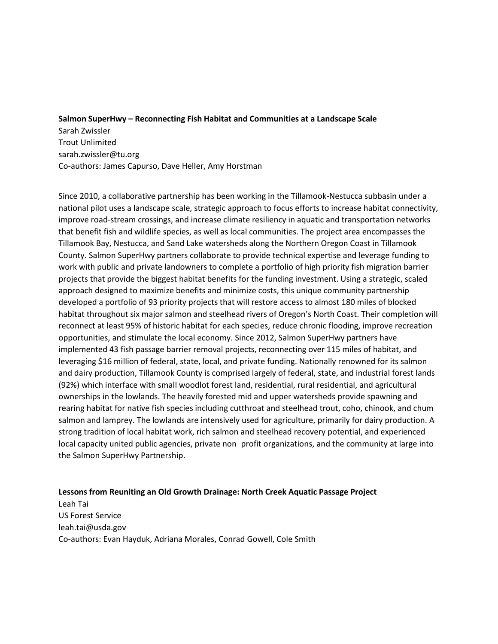## **Salmon SuperHwy – Reconnecting Fish Habitat and Communities at a Landscape Scale**

Sarah Zwissler Trout Unlimited sarah.zwissler@tu.org Co-authors: James Capurso, Dave Heller, Amy Horstman

Since 2010, a collaborative partnership has been working in the Tillamook-Nestucca subbasin under a national pilot uses a landscape scale, strategic approach to focus efforts to increase habitat connectivity, improve road-stream crossings, and increase climate resiliency in aquatic and transportation networks that benefit fish and wildlife species, as well as local communities. The project area encompasses the Tillamook Bay, Nestucca, and Sand Lake watersheds along the Northern Oregon Coast in Tillamook County. Salmon SuperHwy partners collaborate to provide technical expertise and leverage funding to work with public and private landowners to complete a portfolio of high priority fish migration barrier projects that provide the biggest habitat benefits for the funding investment. Using a strategic, scaled approach designed to maximize benefits and minimize costs, this unique community partnership developed a portfolio of 93 priority projects that will restore access to almost 180 miles of blocked habitat throughout six major salmon and steelhead rivers of Oregon's North Coast. Their completion will reconnect at least 95% of historic habitat for each species, reduce chronic flooding, improve recreation opportunities, and stimulate the local economy. Since 2012, Salmon SuperHwy partners have implemented 43 fish passage barrier removal projects, reconnecting over 115 miles of habitat, and leveraging \$16 million of federal, state, local, and private funding. Nationally renowned for its salmon and dairy production, Tillamook County is comprised largely of federal, state, and industrial forest lands (92%) which interface with small woodlot forest land, residential, rural residential, and agricultural ownerships in the lowlands. The heavily forested mid and upper watersheds provide spawning and rearing habitat for native fish species including cutthroat and steelhead trout, coho, chinook, and chum salmon and lamprey. The lowlands are intensively used for agriculture, primarily for dairy production. A strong tradition of local habitat work, rich salmon and steelhead recovery potential, and experienced local capacity united public agencies, private non profit organizations, and the community at large into the Salmon SuperHwy Partnership.

#### **Lessons from Reuniting an Old Growth Drainage: North Creek Aquatic Passage Project**

Leah Tai US Forest Service leah.tai@usda.gov Co-authors: Evan Hayduk, Adriana Morales, Conrad Gowell, Cole Smith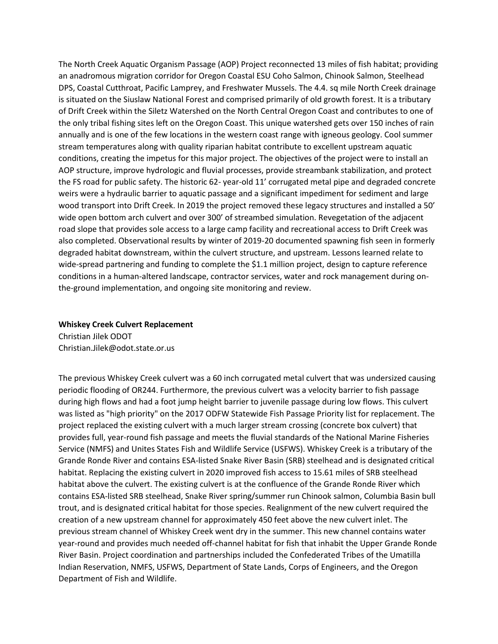The North Creek Aquatic Organism Passage (AOP) Project reconnected 13 miles of fish habitat; providing an anadromous migration corridor for Oregon Coastal ESU Coho Salmon, Chinook Salmon, Steelhead DPS, Coastal Cutthroat, Pacific Lamprey, and Freshwater Mussels. The 4.4. sq mile North Creek drainage is situated on the Siuslaw National Forest and comprised primarily of old growth forest. It is a tributary of Drift Creek within the Siletz Watershed on the North Central Oregon Coast and contributes to one of the only tribal fishing sites left on the Oregon Coast. This unique watershed gets over 150 inches of rain annually and is one of the few locations in the western coast range with igneous geology. Cool summer stream temperatures along with quality riparian habitat contribute to excellent upstream aquatic conditions, creating the impetus for this major project. The objectives of the project were to install an AOP structure, improve hydrologic and fluvial processes, provide streambank stabilization, and protect the FS road for public safety. The historic 62- year-old 11' corrugated metal pipe and degraded concrete weirs were a hydraulic barrier to aquatic passage and a significant impediment for sediment and large wood transport into Drift Creek. In 2019 the project removed these legacy structures and installed a 50' wide open bottom arch culvert and over 300' of streambed simulation. Revegetation of the adjacent road slope that provides sole access to a large camp facility and recreational access to Drift Creek was also completed. Observational results by winter of 2019-20 documented spawning fish seen in formerly degraded habitat downstream, within the culvert structure, and upstream. Lessons learned relate to wide-spread partnering and funding to complete the \$1.1 million project, design to capture reference conditions in a human-altered landscape, contractor services, water and rock management during onthe-ground implementation, and ongoing site monitoring and review.

### **Whiskey Creek Culvert Replacement**

Christian Jilek ODOT Christian.Jilek@odot.state.or.us

The previous Whiskey Creek culvert was a 60 inch corrugated metal culvert that was undersized causing periodic flooding of OR244. Furthermore, the previous culvert was a velocity barrier to fish passage during high flows and had a foot jump height barrier to juvenile passage during low flows. This culvert was listed as "high priority" on the 2017 ODFW Statewide Fish Passage Priority list for replacement. The project replaced the existing culvert with a much larger stream crossing (concrete box culvert) that provides full, year-round fish passage and meets the fluvial standards of the National Marine Fisheries Service (NMFS) and Unites States Fish and Wildlife Service (USFWS). Whiskey Creek is a tributary of the Grande Ronde River and contains ESA-listed Snake River Basin (SRB) steelhead and is designated critical habitat. Replacing the existing culvert in 2020 improved fish access to 15.61 miles of SRB steelhead habitat above the culvert. The existing culvert is at the confluence of the Grande Ronde River which contains ESA-listed SRB steelhead, Snake River spring/summer run Chinook salmon, Columbia Basin bull trout, and is designated critical habitat for those species. Realignment of the new culvert required the creation of a new upstream channel for approximately 450 feet above the new culvert inlet. The previous stream channel of Whiskey Creek went dry in the summer. This new channel contains water year-round and provides much needed off-channel habitat for fish that inhabit the Upper Grande Ronde River Basin. Project coordination and partnerships included the Confederated Tribes of the Umatilla Indian Reservation, NMFS, USFWS, Department of State Lands, Corps of Engineers, and the Oregon Department of Fish and Wildlife.